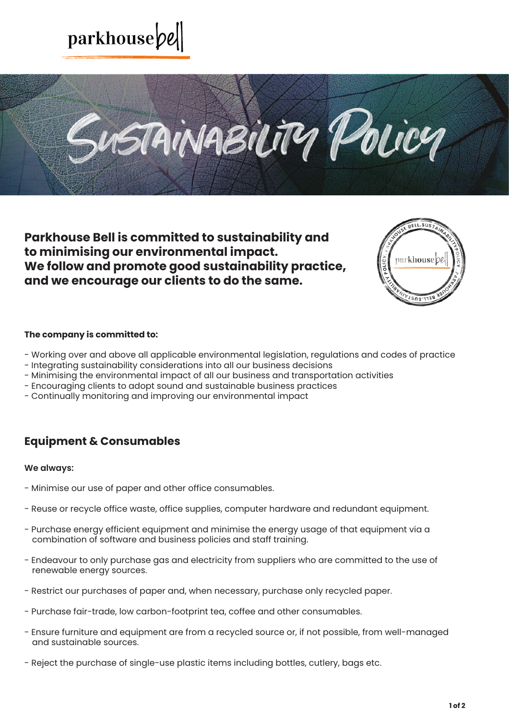



**Parkhouse Bell is committed to sustainability and to minimising our environmental impact. We follow and promote good sustainability practice, and we encourage our clients to do the same.**



### **The company is committed to:**

- Working over and above all applicable environmental legislation, regulations and codes of practice
- Integrating sustainability considerations into all our business decisions
- Minimising the environmental impact of all our business and transportation activities
- Encouraging clients to adopt sound and sustainable business practices
- Continually monitoring and improving our environmental impact

# **Equipment & Consumables**

### **We always:**

- Minimise our use of paper and other office consumables.
- Reuse or recycle office waste, office supplies, computer hardware and redundant equipment.
- Purchase energy efficient equipment and minimise the energy usage of that equipment via a combination of software and business policies and staff training.
- Endeavour to only purchase gas and electricity from suppliers who are committed to the use of renewable energy sources.
- Restrict our purchases of paper and, when necessary, purchase only recycled paper.
- Purchase fair-trade, low carbon-footprint tea, coffee and other consumables.
- Ensure furniture and equipment are from a recycled source or, if not possible, from well-managed and sustainable sources.
- Reject the purchase of single-use plastic items including bottles, cutlery, bags etc.